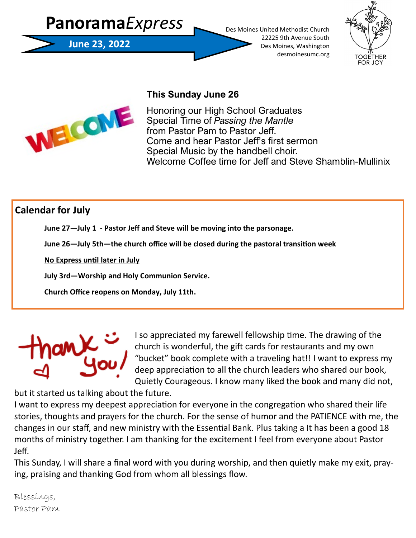



## **This Sunday June 26**

Honoring our High School Graduates Special Time of *Passing the Mantle*  from Pastor Pam to Pastor Jeff. Come and hear Pastor Jeff's first sermon Special Music by the handbell choir. Welcome Coffee time for Jeff and Steve Shamblin-Mullinix

# **Calendar for July**

**June 27—July 1 - Pastor Jeff and Steve will be moving into the parsonage.**

**June 26—July 5th—the church office will be closed during the pastoral transition week** 

**No Express until later in July** 

**July 3rd—Worship and Holy Communion Service.**

**Church Office reopens on Monday, July 11th.** 



I so appreciated my farewell fellowship time. The drawing of the church is wonderful, the gift cards for restaurants and my own "bucket" book complete with a traveling hat!! I want to express my deep appreciation to all the church leaders who shared our book, Quietly Courageous. I know many liked the book and many did not,

but it started us talking about the future.

I want to express my deepest appreciation for everyone in the congregation who shared their life stories, thoughts and prayers for the church. For the sense of humor and the PATIENCE with me, the changes in our staff, and new ministry with the Essential Bank. Plus taking a It has been a good 18 months of ministry together. I am thanking for the excitement I feel from everyone about Pastor Jeff.

This Sunday, I will share a final word with you during worship, and then quietly make my exit, praying, praising and thanking God from whom all blessings flow.

Blessings, Pastor Pam